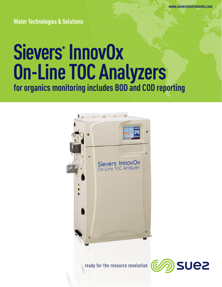**Water Technologies & Solutions**

# **Sievers\* InnovOx On-Line TOC Analyzers for organics monitoring includes BOD and COD reporting**



ready for the resource revolution

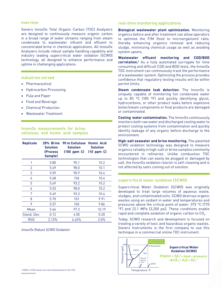#### **overview**

Sievers InnovOx Total Organic Carbon (TOC) Analyzers are designed to continuously measure organic carbon in a broad range of water streams ranging from steam condensate to wastewater influent and effluent to concentrated brine in chemical applications. All InnovOx Analyzers include robust sample handling capability and industry leading supercritical water oxidation (SCWO) technology, all designed to enhance performance and uptime in challenging applications.

#### **industries served**

- Pharmaceutical
- Hydrocarbon Processing
- Pulp and Paper
- Food and Beverage
- Chemical Production
- Wastewater Treatment

#### **InnovOx measurements for brine, cellulose, and humic acid samples**

| <b>Replicate</b> | 28% Brine<br><b>Solution</b><br><b>(Process</b><br>Sample) | 90 m Cellulose Humic Acid<br><b>Solution</b><br>$(100$ ppm $C$ | <b>Solution</b><br>$(10$ ppm $C$ |
|------------------|------------------------------------------------------------|----------------------------------------------------------------|----------------------------------|
| 1                | 5.80                                                       | 95.1                                                           | 10.2                             |
| 2                | 5.69                                                       | 98.0                                                           | 10.1                             |
| 3                | 5.59                                                       | 90.9                                                           | 10.4                             |
| 4                | 5.68                                                       | 104                                                            | 10.4                             |
| 5                | 5.69                                                       | 93.2                                                           | 10.2                             |
| 6                | 5.53                                                       | 98.0                                                           | 10.2                             |
| 7                | 5.49                                                       | 93.3                                                           | 10.4                             |
| 8                | 5.70                                                       | 101                                                            | 9.91                             |
| 9                | 5.57                                                       | 103                                                            | 9.86                             |
| Mean             | 5.66                                                       | 97.3                                                           | 10.19                            |
| Stand, Dev.      | 0.12                                                       | 4.50                                                           | 0.20                             |
| RSD              | 2.13%                                                      | 4.63%                                                          | 2.0%                             |

#### *InnovOx Robust SCWO Oxidation*

### **correlation.†** As a fully automated surrogate for time

consuming and difficult COD and BOD tests, the InnovOx TOC instrument can continuously track the performance of a wastewater system. Optimizing the process provides confidence that regulatory testing results will be within permit limits.

**Wastewater effluent monitoring and COD/BOD** 

**Biological wastewater plant optimization.** Monitoring organics before and after treatment can allow operators to optimize the F/M (food to microorganism) ratio, thereby enhancing organics removal and reducing sludge, minimizing chemical usage as well as avoiding

**real-time monitoring applications**

system upsets.

**Steam condensate leak detection.** The InnovOx is uniquely capable of monitoring hot condensate water up to 85 ºC (185 ºF) and quickly identifying glycol, hydrocarbons, or other product leaks before expensive boiler/steam components or final products are damaged or contaminated.

**Cooling water contamination.** The InnovOx continuously monitors both raw water and discharged cooling water to protect cooling systems from contamination and quickly identify leakage of any organic before discharge to the environment.

**High-salt seawater and brine monitoring.** The patented SCWO oxidation technology was designed to measure organics reliably in high-salt or brine samples commonly encountered in refineries. Unlike combustion TOC technologies that can easily be plugged or damaged by salt, the InnovOx oxidation reactor is self-cleaning and is not affected by salts coming out of solution.

#### **supercritical water oxidation (SCWO)**

Supercritical Water Oxidation (SCWO) was originally developed to treat large volumes of aqueous waste, sludges, and contaminated soils. SCWO destroys organic wastes using an oxidant in water and temperatures and pressures above the critical point of water: 375 °C (770 °F) and 22.1 MPa (3,200 psi). These conditions enable rapid and complete oxidation of organic carbon to CO $_{\textrm{\tiny{2}}}$ .

Today, SCWO research and development is focused on treating a variety of toxic and hazardous organic wastes. Sievers Instruments is the first company to use this technique in a commercial online TOC instrument.

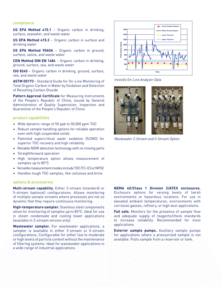#### **compliance**

**US EPA Method 415.1** – Organic carbon in drinking, surface, seawater, and waste water

**US EPA Method 415.3** – Organic carbon in surface and drinking water

**US EPA Method 9060A** – Organic carbon in ground, surface, saline, and waste water

**CEN Method DIN EN 1484** – Organic carbon in drinking, ground, surface, sea, and waste water

**ISO 8245** – Organic carbon in drinking, ground, surface, sea, and waste water

**ASTM D5173** - Standard Guide for On-Line Monitoring of Total Organic Carbon in Water by Oxidation and Detection of Resulting Carbon Dioxide

**Pattern Approval Certificate** for Measuring Instruments of the People's Republic of China, issued by General Administration of Quality Supervision, Inspection and Quarantine of the People's Republic of China

#### **product capabilities**

- Wide dynamic range of 50 ppb to 50,000 ppm TOC
- Robust sample handling options for reliable operation even with high suspended solids
- Patented supercritical water oxidation (SCWO) for superior TOC recovery and high reliability
- Reliable NDIR detection technology with no moving parts
- Straightforward operation
- High temperature option allows measurement of samples up to 85°C
- Versatile measurement modes include TOC (TC-IC) or NPOC
- Handles tough TOC samples, like cellulose and brine

#### **options & accessories**

**Multi-stream capability.** Either 2-stream (standard) or 5-stream (optional) configurations. Allows monitoring of multiple sample streams where processes are not so dynamic that they require continuous monitoring.

**High-temperature sampler.** Stainless steel components allow for monitoring of samples up to 85ºC. Ideal for use in steam condensate and cooling tower applications (available in 2-stream version only).

**Wastewater sampler.** For wastewater applications, a sampler is available in either 2-stream or 5-stream configurations. Configurable for either low to moderate or high levels of particle content without the maintenance of filtering systems. Ideal for wastewater applications in a wide range of industrial applications.



*InnovOx On-Line Analyzer Data* 



*Wastewater 2-Stream and 5-Stream Option*

**NEMA 4X/Class 1 Division 2/ATEX enclosures.** Enclosure options for varying levels of harsh environments or hazardous locations. For use in elevated ambient temperatures, environments with corrosive gasses, refinery, or high dust applications.

**Fail safe.** Monitors for the presence of sample flow and adequate supply of reagents/check standards to increase reliability. Recommended for most applications.

**Exterior sample pumps.** Auxiliary sample pumps for applications where a pressurized sample is not available. Pulls sample from a reservoir or tank.